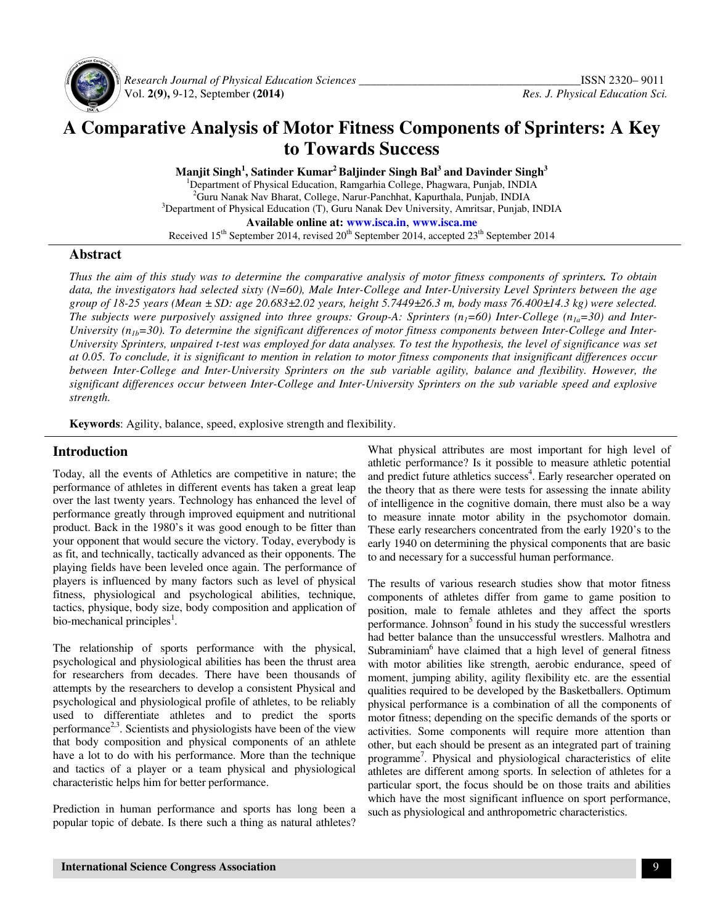

 *Research Journal of Physical Education Sciences \_\_\_\_\_\_\_\_\_\_\_\_\_\_\_\_\_\_\_\_\_\_\_\_\_\_\_\_\_\_\_\_\_\_\_\_\_\_*ISSN 2320– 9011 Vol. **2(9),** 9-12, September **(2014)** *Res. J. Physical Education Sci.*

# **A Comparative Analysis of Motor Fitness Components of Sprinters: A Key to Towards Success**

**Manjit Singh<sup>1</sup> , Satinder Kumar<sup>2</sup>Baljinder Singh Bal<sup>3</sup> and Davinder Singh<sup>3</sup>**

<sup>1</sup>Department of Physical Education, Ramgarhia College, Phagwara, Punjab, INDIA <sup>2</sup>Guru Nanak Nav Bharat, College, Narur-Panchhat, Kapurthala, Punjab, INDIA <sup>3</sup>Department of Physical Education (T), Guru Nanak Dev University, Amritsar, Punjab, INDIA **Available online at: www.isca.in**, **www.isca.me** Received  $15<sup>th</sup>$  September 2014, revised  $20<sup>th</sup>$  September 2014, accepted  $23<sup>th</sup>$  September 2014

#### **Abstract**

*Thus the aim of this study was to determine the comparative analysis of motor fitness components of sprinters. To obtain data, the investigators had selected sixty (N=60), Male Inter-College and Inter-University Level Sprinters between the age group of 18-25 years (Mean ± SD: age 20.683±2.02 years, height 5.7449±26.3 m, body mass 76.400±14.3 kg) were selected. The subjects were purposively assigned into three groups: Group-A: Sprinters (n<sub>1</sub>=60) Inter-College (n<sub>1a</sub>=30) and Inter-*University ( $n_{1b}$ =30). To determine the significant differences of motor fitness components between Inter-College and Inter-*University Sprinters, unpaired t-test was employed for data analyses. To test the hypothesis, the level of significance was set at 0.05. To conclude, it is significant to mention in relation to motor fitness components that insignificant differences occur between Inter-College and Inter-University Sprinters on the sub variable agility, balance and flexibility. However, the significant differences occur between Inter-College and Inter-University Sprinters on the sub variable speed and explosive strength.* 

**Keywords**: Agility, balance, speed, explosive strength and flexibility.

#### **Introduction**

Today, all the events of Athletics are competitive in nature; the performance of athletes in different events has taken a great leap over the last twenty years. Technology has enhanced the level of performance greatly through improved equipment and nutritional product. Back in the 1980's it was good enough to be fitter than your opponent that would secure the victory. Today, everybody is as fit, and technically, tactically advanced as their opponents. The playing fields have been leveled once again. The performance of players is influenced by many factors such as level of physical fitness, physiological and psychological abilities, technique, tactics, physique, body size, body composition and application of bio-mechanical principles<sup>1</sup>.

The relationship of sports performance with the physical, psychological and physiological abilities has been the thrust area for researchers from decades. There have been thousands of attempts by the researchers to develop a consistent Physical and psychological and physiological profile of athletes, to be reliably used to differentiate athletes and to predict the sports performance<sup>2,3</sup>. Scientists and physiologists have been of the view that body composition and physical components of an athlete have a lot to do with his performance. More than the technique and tactics of a player or a team physical and physiological characteristic helps him for better performance.

Prediction in human performance and sports has long been a popular topic of debate. Is there such a thing as natural athletes?

What physical attributes are most important for high level of athletic performance? Is it possible to measure athletic potential and predict future athletics success<sup>4</sup>. Early researcher operated on the theory that as there were tests for assessing the innate ability of intelligence in the cognitive domain, there must also be a way to measure innate motor ability in the psychomotor domain. These early researchers concentrated from the early 1920's to the early 1940 on determining the physical components that are basic to and necessary for a successful human performance.

The results of various research studies show that motor fitness components of athletes differ from game to game position to position, male to female athletes and they affect the sports performance. Johnson<sup>5</sup> found in his study the successful wrestlers had better balance than the unsuccessful wrestlers. Malhotra and Subraminiam<sup>6</sup> have claimed that a high level of general fitness with motor abilities like strength, aerobic endurance, speed of moment, jumping ability, agility flexibility etc. are the essential qualities required to be developed by the Basketballers. Optimum physical performance is a combination of all the components of motor fitness; depending on the specific demands of the sports or activities. Some components will require more attention than other, but each should be present as an integrated part of training programme<sup>7</sup>. Physical and physiological characteristics of elite athletes are different among sports. In selection of athletes for a particular sport, the focus should be on those traits and abilities which have the most significant influence on sport performance, such as physiological and anthropometric characteristics.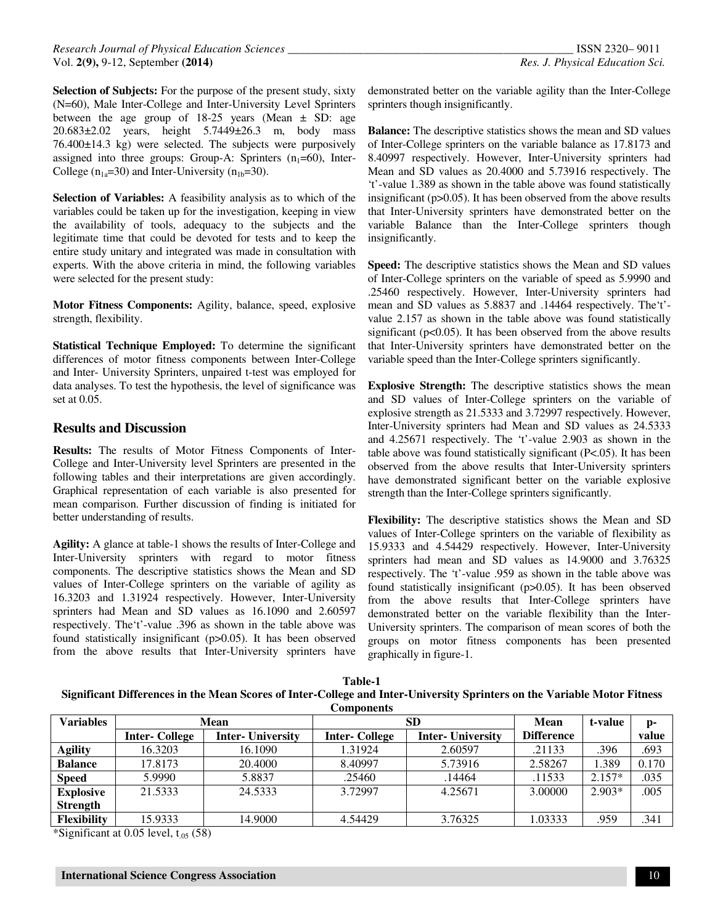**Selection of Subjects:** For the purpose of the present study, sixty (N=60), Male Inter-College and Inter-University Level Sprinters between the age group of  $18-25$  years (Mean  $\pm$  SD: age 20.683±2.02 years, height 5.7449±26.3 m, body mass 76.400±14.3 kg) were selected. The subjects were purposively assigned into three groups: Group-A: Sprinters  $(n_1=60)$ , Inter-College  $(n_{1a}=30)$  and Inter-University  $(n_{1b}=30)$ .

**Selection of Variables:** A feasibility analysis as to which of the variables could be taken up for the investigation, keeping in view the availability of tools, adequacy to the subjects and the legitimate time that could be devoted for tests and to keep the entire study unitary and integrated was made in consultation with experts. With the above criteria in mind, the following variables were selected for the present study:

**Motor Fitness Components:** Agility, balance, speed, explosive strength, flexibility.

**Statistical Technique Employed:** To determine the significant differences of motor fitness components between Inter-College and Inter- University Sprinters, unpaired t-test was employed for data analyses. To test the hypothesis, the level of significance was set at 0.05.

## **Results and Discussion**

**Results:** The results of Motor Fitness Components of Inter-College and Inter-University level Sprinters are presented in the following tables and their interpretations are given accordingly. Graphical representation of each variable is also presented for mean comparison. Further discussion of finding is initiated for better understanding of results.

**Agility:** A glance at table-1 shows the results of Inter-College and Inter-University sprinters with regard to motor fitness components. The descriptive statistics shows the Mean and SD values of Inter-College sprinters on the variable of agility as 16.3203 and 1.31924 respectively. However, Inter-University sprinters had Mean and SD values as 16.1090 and 2.60597 respectively. The't'-value .396 as shown in the table above was found statistically insignificant (p>0.05). It has been observed from the above results that Inter-University sprinters have

demonstrated better on the variable agility than the Inter-College sprinters though insignificantly.

**Balance:** The descriptive statistics shows the mean and SD values of Inter-College sprinters on the variable balance as 17.8173 and 8.40997 respectively. However, Inter-University sprinters had Mean and SD values as 20.4000 and 5.73916 respectively. The 't'-value 1.389 as shown in the table above was found statistically insignificant (p>0.05). It has been observed from the above results that Inter-University sprinters have demonstrated better on the variable Balance than the Inter-College sprinters though insignificantly.

**Speed:** The descriptive statistics shows the Mean and SD values of Inter-College sprinters on the variable of speed as 5.9990 and .25460 respectively. However, Inter-University sprinters had mean and SD values as 5.8837 and .14464 respectively. The't' value 2.157 as shown in the table above was found statistically significant ( $p<0.05$ ). It has been observed from the above results that Inter-University sprinters have demonstrated better on the variable speed than the Inter-College sprinters significantly.

**Explosive Strength:** The descriptive statistics shows the mean and SD values of Inter-College sprinters on the variable of explosive strength as 21.5333 and 3.72997 respectively. However, Inter-University sprinters had Mean and SD values as 24.5333 and 4.25671 respectively. The 't'-value 2.903 as shown in the table above was found statistically significant (P<.05). It has been observed from the above results that Inter-University sprinters have demonstrated significant better on the variable explosive strength than the Inter-College sprinters significantly.

**Flexibility:** The descriptive statistics shows the Mean and SD values of Inter-College sprinters on the variable of flexibility as 15.9333 and 4.54429 respectively. However, Inter-University sprinters had mean and SD values as 14.9000 and 3.76325 respectively. The 't'-value .959 as shown in the table above was found statistically insignificant (p>0.05). It has been observed from the above results that Inter-College sprinters have demonstrated better on the variable flexibility than the Inter-University sprinters. The comparison of mean scores of both the groups on motor fitness components has been presented graphically in figure-1.

**Table-1 Significant Differences in the Mean Scores of Inter-College and Inter-University Sprinters on the Variable Motor Fitness Components** 

| Variables          | Mean                 |                          | <b>SD</b>            |                         | Mean              | t-value  | p-    |
|--------------------|----------------------|--------------------------|----------------------|-------------------------|-------------------|----------|-------|
|                    | <b>Inter-College</b> | <b>Inter-</b> University | <b>Inter-College</b> | <b>Inter-University</b> | <b>Difference</b> |          | value |
| <b>Agility</b>     | 16.3203              | 16.1090                  | 1.31924              | 2.60597                 | .21133            | .396     | .693  |
| <b>Balance</b>     | 17.8173              | 20.4000                  | 8.40997              | 5.73916                 | 2.58267           | 1.389    | 0.170 |
| <b>Speed</b>       | 5.9990               | 5.8837                   | .25460               | .14464                  | .11533            | $2.157*$ | .035  |
| <b>Explosive</b>   | 21.5333              | 24.5333                  | 3.72997              | 4.25671                 | 3.00000           | $2.903*$ | .005  |
| <b>Strength</b>    |                      |                          |                      |                         |                   |          |       |
| <b>Flexibility</b> | 15.9333              | 14.9000                  | 4.54429              | 3.76325                 | 1.03333           | .959     | .341  |

\*Significant at  $0.05$  level,  $t_{.05}$  (58)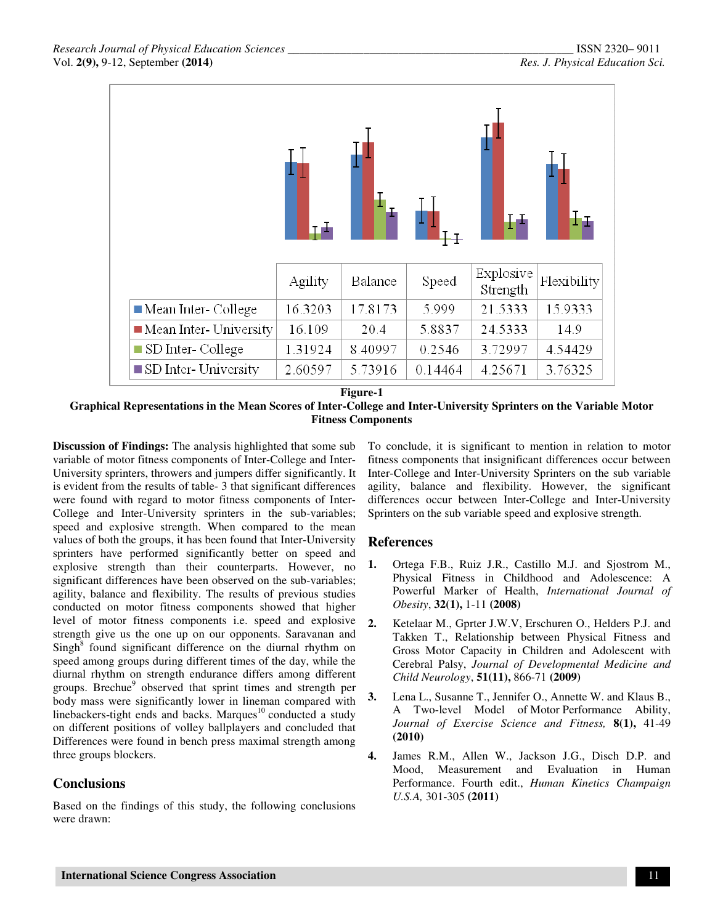|                                       |         |         |         |                       | Ŧτ          |
|---------------------------------------|---------|---------|---------|-----------------------|-------------|
|                                       | Agility | Balance | Speed   | Explosive<br>Strength | Flexibility |
| $\blacksquare$ Mean Inter- College    | 16.3203 | 17.8173 | 5.999   | 21.5333               | 15.9333     |
| $\blacksquare$ Mean Inter- University | 16.109  | 20.4    | 5.8837  | 24.5333               | 14.9        |
| SD Inter-College                      | 1.31924 | 8.40997 | 0.2546  | 3.72997               | 4.54429     |
| $\blacksquare$ SD Inter-University    | 2.60597 | 5.73916 | 0.14464 | 4.25671               | 3.76325     |

**Figure-1** 

**Graphical Representations in the Mean Scores of Inter-College and Inter-University Sprinters on the Variable Motor Fitness Components** 

**Discussion of Findings:** The analysis highlighted that some sub variable of motor fitness components of Inter-College and Inter-University sprinters, throwers and jumpers differ significantly. It is evident from the results of table- 3 that significant differences were found with regard to motor fitness components of Inter-College and Inter-University sprinters in the sub-variables; speed and explosive strength. When compared to the mean values of both the groups, it has been found that Inter-University sprinters have performed significantly better on speed and explosive strength than their counterparts. However, no significant differences have been observed on the sub-variables; agility, balance and flexibility. The results of previous studies conducted on motor fitness components showed that higher level of motor fitness components i.e. speed and explosive strength give us the one up on our opponents. Saravanan and  $Singh<sup>8</sup>$  found significant difference on the diurnal rhythm on speed among groups during different times of the day, while the diurnal rhythm on strength endurance differs among different groups. Brechue<sup>9</sup> observed that sprint times and strength per body mass were significantly lower in lineman compared with linebackers-tight ends and backs. Marques<sup>10</sup> conducted a study on different positions of volley ballplayers and concluded that Differences were found in bench press maximal strength among three groups blockers.

# **Conclusions**

Based on the findings of this study, the following conclusions were drawn:

To conclude, it is significant to mention in relation to motor fitness components that insignificant differences occur between Inter-College and Inter-University Sprinters on the sub variable agility, balance and flexibility. However, the significant differences occur between Inter-College and Inter-University Sprinters on the sub variable speed and explosive strength.

## **References**

- **1.** Ortega F.B., Ruiz J.R., Castillo M.J. and Sjostrom M., Physical Fitness in Childhood and Adolescence: A Powerful Marker of Health, *International Journal of Obesity*, **32(1),** 1-11 **(2008)**
- **2.** Ketelaar M., Gprter J.W.V, Erschuren O., Helders P.J. and Takken T., Relationship between Physical Fitness and Gross Motor Capacity in Children and Adolescent with Cerebral Palsy, *Journal of Developmental Medicine and Child Neurology*, **51(11),** 866-71 **(2009)**
- **3.** Lena L., Susanne T., Jennifer O., Annette W. and Klaus B., A Two-level Model of Motor Performance Ability, *Journal of Exercise Science and Fitness,* **8(1),** 41-49 **(2010)**
- **4.** James R.M., Allen W., Jackson J.G., Disch D.P. and Mood, Measurement and Evaluation in Human Performance. Fourth edit., *Human Kinetics Champaign U.S.A,* 301-305 **(2011)**